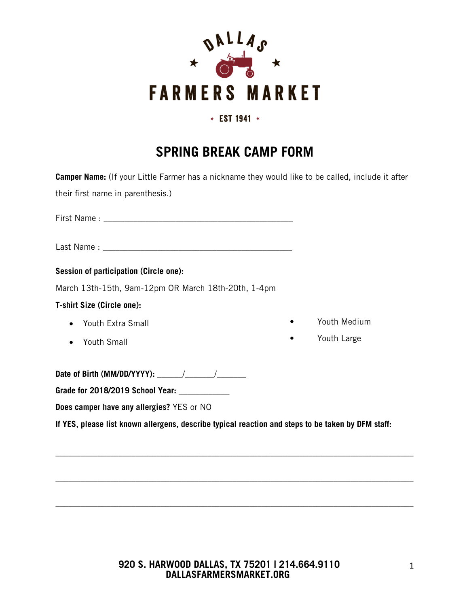

### \* EST 1941 \*

# **SPRING BREAK CAMP FORM**

| <b>Camper Name:</b> (If your Little Farmer has a nickname they would like to be called, include it after |              |
|----------------------------------------------------------------------------------------------------------|--------------|
| their first name in parenthesis.)                                                                        |              |
|                                                                                                          |              |
|                                                                                                          |              |
| Session of participation (Circle one):                                                                   |              |
| March 13th-15th, 9am-12pm OR March 18th-20th, 1-4pm                                                      |              |
| <b>T-shirt Size (Circle one):</b>                                                                        |              |
| • Youth Extra Small                                                                                      | Youth Medium |
| Youth Small                                                                                              | Youth Large  |
|                                                                                                          |              |
| Grade for 2018/2019 School Year: ___________                                                             |              |
| Does camper have any allergies? YES or NO                                                                |              |
| If YES, please list known allergens, describe typical reaction and steps to be taken by DFM staff:       |              |

## **920 S. HARWOOD DALLAS, TX 75201 | 214.664.9110 DALLASFARMERSMARKET.ORG**

\_\_\_\_\_\_\_\_\_\_\_\_\_\_\_\_\_\_\_\_\_\_\_\_\_\_\_\_\_\_\_\_\_\_\_\_\_\_\_\_\_\_\_\_\_\_\_\_\_\_\_\_\_\_\_\_\_\_\_\_\_\_\_\_\_\_\_\_\_\_\_\_\_\_\_\_\_\_\_\_\_\_\_\_\_

\_\_\_\_\_\_\_\_\_\_\_\_\_\_\_\_\_\_\_\_\_\_\_\_\_\_\_\_\_\_\_\_\_\_\_\_\_\_\_\_\_\_\_\_\_\_\_\_\_\_\_\_\_\_\_\_\_\_\_\_\_\_\_\_\_\_\_\_\_\_\_\_\_\_\_\_\_\_\_\_\_\_\_\_\_

\_\_\_\_\_\_\_\_\_\_\_\_\_\_\_\_\_\_\_\_\_\_\_\_\_\_\_\_\_\_\_\_\_\_\_\_\_\_\_\_\_\_\_\_\_\_\_\_\_\_\_\_\_\_\_\_\_\_\_\_\_\_\_\_\_\_\_\_\_\_\_\_\_\_\_\_\_\_\_\_\_\_\_\_\_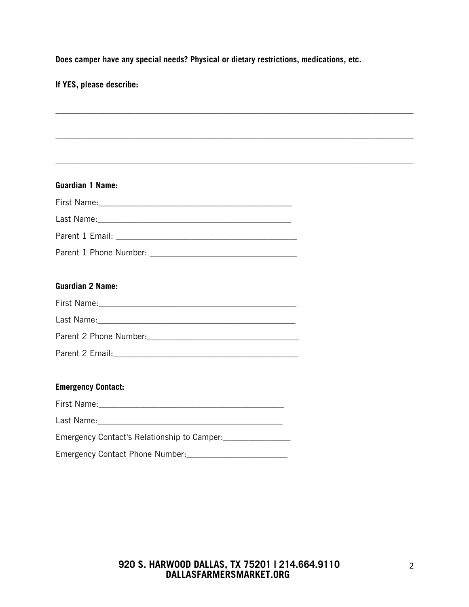**Does camper have any special needs? Physical or dietary restrictions, medications, etc.** 

**If YES, please describe:**

| <b>Guardian 1 Name:</b>                                                                                                                                                                                                        |  |
|--------------------------------------------------------------------------------------------------------------------------------------------------------------------------------------------------------------------------------|--|
|                                                                                                                                                                                                                                |  |
| Last Name: 1988 Contract Contract Contract Contract Contract Contract Contract Contract Contract Contract Contract Contract Contract Contract Contract Contract Contract Contract Contract Contract Contract Contract Contract |  |
|                                                                                                                                                                                                                                |  |
|                                                                                                                                                                                                                                |  |
| <b>Guardian 2 Name:</b>                                                                                                                                                                                                        |  |
|                                                                                                                                                                                                                                |  |
|                                                                                                                                                                                                                                |  |
| Parent 2 Phone Number: 1997                                                                                                                                                                                                    |  |
|                                                                                                                                                                                                                                |  |
| <b>Emergency Contact:</b>                                                                                                                                                                                                      |  |
|                                                                                                                                                                                                                                |  |
|                                                                                                                                                                                                                                |  |
| Emergency Contact's Relationship to Camper: _________________                                                                                                                                                                  |  |
|                                                                                                                                                                                                                                |  |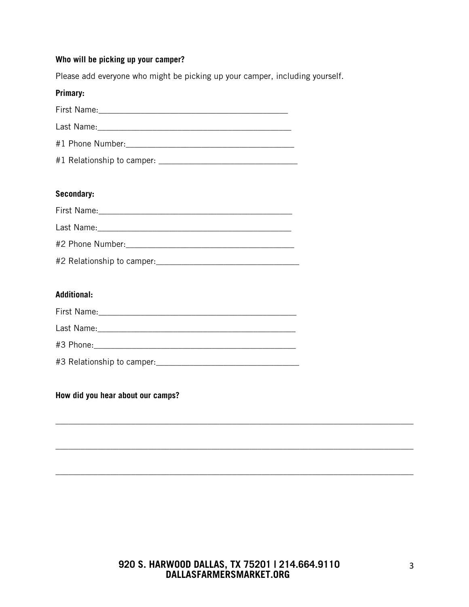#### **Who will be picking up your camper?**

Please add everyone who might be picking up your camper, including yourself.

| Primary: |
|----------|
|          |
|          |
|          |
|          |

#### **Secondary:**

| First Name:                                                                                                     |
|-----------------------------------------------------------------------------------------------------------------|
| Last Name: The Committee of the Committee of the Committee of the Committee of the Committee of the Committee o |
|                                                                                                                 |
|                                                                                                                 |

#### **Additional:**

| #3 Relationship to camper: |  |
|----------------------------|--|

#### **How did you hear about our camps?**

\_\_\_\_\_\_\_\_\_\_\_\_\_\_\_\_\_\_\_\_\_\_\_\_\_\_\_\_\_\_\_\_\_\_\_\_\_\_\_\_\_\_\_\_\_\_\_\_\_\_\_\_\_\_\_\_\_\_\_\_\_\_\_\_\_\_\_\_\_\_\_\_\_\_\_\_\_\_\_\_\_\_\_\_\_

\_\_\_\_\_\_\_\_\_\_\_\_\_\_\_\_\_\_\_\_\_\_\_\_\_\_\_\_\_\_\_\_\_\_\_\_\_\_\_\_\_\_\_\_\_\_\_\_\_\_\_\_\_\_\_\_\_\_\_\_\_\_\_\_\_\_\_\_\_\_\_\_\_\_\_\_\_\_\_\_\_\_\_\_\_

\_\_\_\_\_\_\_\_\_\_\_\_\_\_\_\_\_\_\_\_\_\_\_\_\_\_\_\_\_\_\_\_\_\_\_\_\_\_\_\_\_\_\_\_\_\_\_\_\_\_\_\_\_\_\_\_\_\_\_\_\_\_\_\_\_\_\_\_\_\_\_\_\_\_\_\_\_\_\_\_\_\_\_\_\_